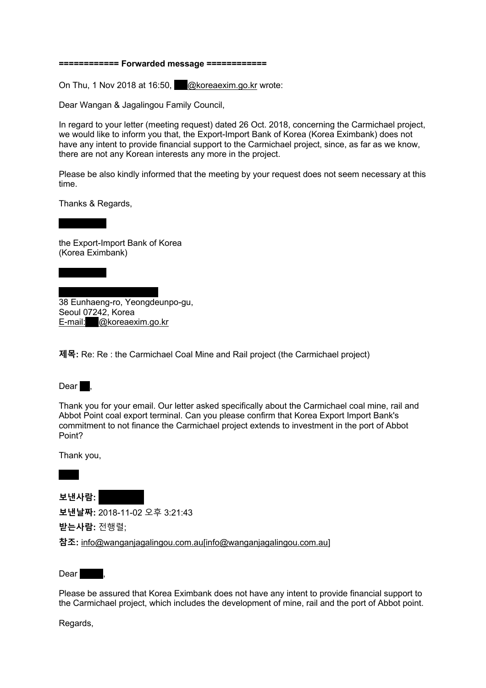### **============ Forwarded message ============**

On Thu, 1 Nov 2018 at 16:50,  $\oslash$  @koreaexim.go.kr wrote:

Dear Wangan & Jagalingou Family Council,

In regard to your letter (meeting request) dated 26 Oct. 2018, concerning the Carmichael project, we would like to inform you that, the Export-Import Bank of Korea (Korea Eximbank) does not have any intent to provide financial support to the Carmichael project, since, as far as we know, there are not any Korean interests any more in the project.

Please be also kindly informed that the meeting by your request does not seem necessary at this time.

Thanks & Regards,

the Export-Import Bank of Korea (Korea Eximbank)

38 Eunhaeng-ro, Yeongdeunpo-gu, Seoul 07242, Korea E-mail: @koreaexim.go.kr

**제목:** Re: Re : the Carmichael Coal Mine and Rail project (the Carmichael project)



Thank you for your email. Our letter asked specifically about the Carmichael coal mine, rail and Abbot Point coal export terminal. Can you please confirm that Korea Export Import Bank's commitment to not finance the Carmichael project extends to investment in the port of Abbot Point?

Thank you,

**보낸사람:** \*\*\*\*\*\* \*\*\*\*\*\*\*

**보낸날짜:** 2018-11-02 오후 3:21:43

**받는사람:** 전행렬;

**참조:** info@wanganjagalingou.com.au[info@wanganjagalingou.com.au]

 $Dear$ 

Please be assured that Korea Eximbank does not have any intent to provide financial support to the Carmichael project, which includes the development of mine, rail and the port of Abbot point.

Regards,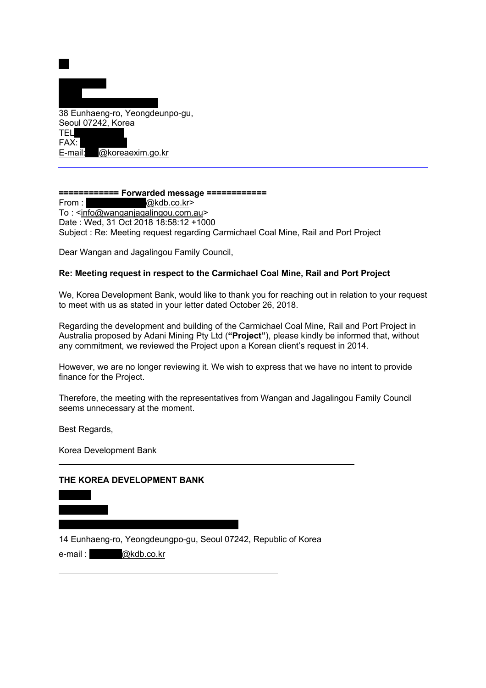

### ============ Forwarded message ============

From: @kdb.co.kr> To: <info@wanganjagalingou.com.au> Date: Wed, 31 Oct 2018 18:58:12 +1000 Subject: Re: Meeting request regarding Carmichael Coal Mine, Rail and Port Project

Dear Wangan and Jagalingou Family Council,

# Re: Meeting request in respect to the Carmichael Coal Mine. Rail and Port Project

We, Korea Development Bank, would like to thank you for reaching out in relation to your request to meet with us as stated in your letter dated October 26, 2018.

Regarding the development and building of the Carmichael Coal Mine, Rail and Port Project in Australia proposed by Adani Mining Pty Ltd ("Project"), please kindly be informed that, without any commitment, we reviewed the Project upon a Korean client's request in 2014.

However, we are no longer reviewing it. We wish to express that we have no intent to provide finance for the Project.

Therefore, the meeting with the representatives from Wangan and Jagalingou Family Council seems unnecessary at the moment.

Best Regards,

Korea Development Bank

## THE KOREA DEVELOPMENT BANK



14 Eunhaeng-ro, Yeongdeungpo-gu, Seoul 07242, Republic of Korea

e-mail: @kdb.co.kr